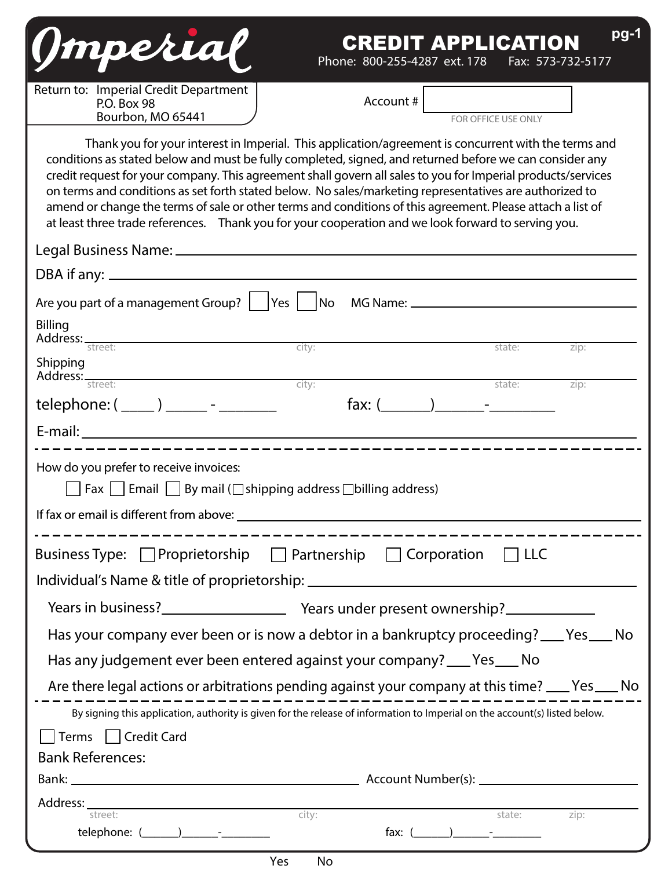| $pg-1$<br>(Imperial<br><b>CREDIT APPLICATION</b><br>Phone: 800-255-4287 ext. 178<br>Fax: 573-732-5177                                                                                                                                                                                                                                                                                                                                                                                                                                                                                                                                                           |  |  |  |  |  |
|-----------------------------------------------------------------------------------------------------------------------------------------------------------------------------------------------------------------------------------------------------------------------------------------------------------------------------------------------------------------------------------------------------------------------------------------------------------------------------------------------------------------------------------------------------------------------------------------------------------------------------------------------------------------|--|--|--|--|--|
| Return to: Imperial Credit Department<br>Account $#$<br>P.O. Box 98<br>Bourbon, MO 65441<br>FOR OFFICE USE ONLY                                                                                                                                                                                                                                                                                                                                                                                                                                                                                                                                                 |  |  |  |  |  |
| Thank you for your interest in Imperial. This application/agreement is concurrent with the terms and<br>conditions as stated below and must be fully completed, signed, and returned before we can consider any<br>credit request for your company. This agreement shall govern all sales to you for Imperial products/services<br>on terms and conditions as set forth stated below. No sales/marketing representatives are authorized to<br>amend or change the terms of sale or other terms and conditions of this agreement. Please attach a list of<br>at least three trade references. Thank you for your cooperation and we look forward to serving you. |  |  |  |  |  |
|                                                                                                                                                                                                                                                                                                                                                                                                                                                                                                                                                                                                                                                                 |  |  |  |  |  |
|                                                                                                                                                                                                                                                                                                                                                                                                                                                                                                                                                                                                                                                                 |  |  |  |  |  |
| Are you part of a management Group?     Yes     No                                                                                                                                                                                                                                                                                                                                                                                                                                                                                                                                                                                                              |  |  |  |  |  |
| Billing                                                                                                                                                                                                                                                                                                                                                                                                                                                                                                                                                                                                                                                         |  |  |  |  |  |
| Address: street:<br>city:<br>state:<br>zip:<br>Shipping                                                                                                                                                                                                                                                                                                                                                                                                                                                                                                                                                                                                         |  |  |  |  |  |
| city:<br>Address: street:<br>state:<br>zip:                                                                                                                                                                                                                                                                                                                                                                                                                                                                                                                                                                                                                     |  |  |  |  |  |
| $telephone: (\_\_) \_\_ - \_\_$<br>fax: $($ $)$ $-$                                                                                                                                                                                                                                                                                                                                                                                                                                                                                                                                                                                                             |  |  |  |  |  |
|                                                                                                                                                                                                                                                                                                                                                                                                                                                                                                                                                                                                                                                                 |  |  |  |  |  |
| How do you prefer to receive invoices:<br>Fax $\Box$ Email $\Box$ By mail ( $\Box$ shipping address $\Box$ billing address)                                                                                                                                                                                                                                                                                                                                                                                                                                                                                                                                     |  |  |  |  |  |
|                                                                                                                                                                                                                                                                                                                                                                                                                                                                                                                                                                                                                                                                 |  |  |  |  |  |
| Business Type: Proprietorship Deartnership D Corporation D LLC<br>Individual's Name & title of proprietorship: ___________________________________                                                                                                                                                                                                                                                                                                                                                                                                                                                                                                              |  |  |  |  |  |
|                                                                                                                                                                                                                                                                                                                                                                                                                                                                                                                                                                                                                                                                 |  |  |  |  |  |
| Has your company ever been or is now a debtor in a bankruptcy proceeding? ___ Yes ___ No                                                                                                                                                                                                                                                                                                                                                                                                                                                                                                                                                                        |  |  |  |  |  |
| Has any judgement ever been entered against your company? ___ Yes ___ No                                                                                                                                                                                                                                                                                                                                                                                                                                                                                                                                                                                        |  |  |  |  |  |
| Are there legal actions or arbitrations pending against your company at this time? ___ Yes ___ No                                                                                                                                                                                                                                                                                                                                                                                                                                                                                                                                                               |  |  |  |  |  |
| By signing this application, authority is given for the release of information to Imperial on the account(s) listed below.                                                                                                                                                                                                                                                                                                                                                                                                                                                                                                                                      |  |  |  |  |  |
| Terms   Credit Card                                                                                                                                                                                                                                                                                                                                                                                                                                                                                                                                                                                                                                             |  |  |  |  |  |
| <b>Bank References:</b>                                                                                                                                                                                                                                                                                                                                                                                                                                                                                                                                                                                                                                         |  |  |  |  |  |
|                                                                                                                                                                                                                                                                                                                                                                                                                                                                                                                                                                                                                                                                 |  |  |  |  |  |
| <b>Address:</b> street: zip: city: state: zip:                                                                                                                                                                                                                                                                                                                                                                                                                                                                                                                                                                                                                  |  |  |  |  |  |
|                                                                                                                                                                                                                                                                                                                                                                                                                                                                                                                                                                                                                                                                 |  |  |  |  |  |

Yes No